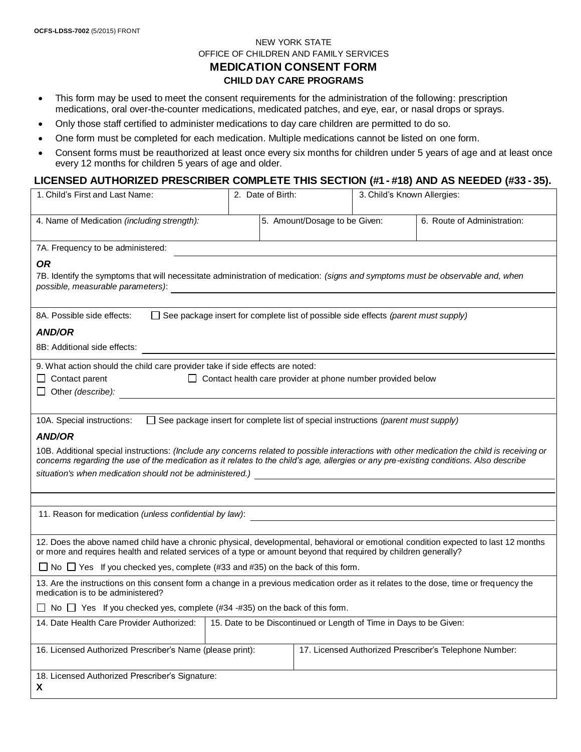# NEW YORK STATE OFFICE OF CHILDREN AND FAMILY SERVICES **MEDICATION CONSENT FORM CHILD DAY CARE PROGRAMS**

- This form may be used to meet the consent requirements for the administration of the following: prescription medications, oral over-the-counter medications, medicated patches, and eye, ear, or nasal drops or sprays.
- Only those staff certified to administer medications to day care children are permitted to do so.
- One form must be completed for each medication. Multiple medications cannot be listed on one form.
- Consent forms must be reauthorized at least once every six months for children under 5 years of age and at least once every 12 months for children 5 years of age and older.

#### **LICENSED AUTHORIZED PRESCRIBER COMPLETE THIS SECTION (#1 - #18) AND AS NEEDED (#33 - 35).**

| 1. Child's First and Last Name:                                                                                                                                                                                                                                                        |                                                                    | 2. Date of Birth:             | 3. Child's Known Allergies: |                                                        |  |  |
|----------------------------------------------------------------------------------------------------------------------------------------------------------------------------------------------------------------------------------------------------------------------------------------|--------------------------------------------------------------------|-------------------------------|-----------------------------|--------------------------------------------------------|--|--|
| 4. Name of Medication (including strength):                                                                                                                                                                                                                                            |                                                                    | 5. Amount/Dosage to be Given: |                             | 6. Route of Administration:                            |  |  |
| 7A. Frequency to be administered:                                                                                                                                                                                                                                                      |                                                                    |                               |                             |                                                        |  |  |
| <b>OR</b>                                                                                                                                                                                                                                                                              |                                                                    |                               |                             |                                                        |  |  |
| 7B. Identify the symptoms that will necessitate administration of medication: (signs and symptoms must be observable and, when<br>possible, measurable parameters):<br><u> 1989 - John Stein, Amerikaansk politiker (* 1908)</u>                                                       |                                                                    |                               |                             |                                                        |  |  |
| $\Box$ See package insert for complete list of possible side effects (parent must supply)<br>8A. Possible side effects:                                                                                                                                                                |                                                                    |                               |                             |                                                        |  |  |
| <b>AND/OR</b>                                                                                                                                                                                                                                                                          |                                                                    |                               |                             |                                                        |  |  |
| 8B: Additional side effects:                                                                                                                                                                                                                                                           |                                                                    |                               |                             |                                                        |  |  |
| 9. What action should the child care provider take if side effects are noted:                                                                                                                                                                                                          |                                                                    |                               |                             |                                                        |  |  |
| $\Box$ Contact health care provider at phone number provided below<br>$\Box$ Contact parent                                                                                                                                                                                            |                                                                    |                               |                             |                                                        |  |  |
| Other (describe):                                                                                                                                                                                                                                                                      |                                                                    |                               |                             |                                                        |  |  |
| $\Box$ See package insert for complete list of special instructions (parent must supply)<br>10A. Special instructions:                                                                                                                                                                 |                                                                    |                               |                             |                                                        |  |  |
| <b>AND/OR</b>                                                                                                                                                                                                                                                                          |                                                                    |                               |                             |                                                        |  |  |
| 10B. Additional special instructions: (Include any concerns related to possible interactions with other medication the child is receiving or<br>concerns regarding the use of the medication as it relates to the child's age, allergies or any pre-existing conditions. Also describe |                                                                    |                               |                             |                                                        |  |  |
| situation's when medication should not be administered.) [14] [2012] [2012] [2012] [2012] [2012] [2012] [2012] [2012] [2012] [2012] [2012] [2012] [2012] [2012] [2012] [2012] [2012] [2012] [2012] [2012] [2012] [2012] [2012]                                                         |                                                                    |                               |                             |                                                        |  |  |
|                                                                                                                                                                                                                                                                                        |                                                                    |                               |                             |                                                        |  |  |
| 11. Reason for medication (unless confidential by law):                                                                                                                                                                                                                                |                                                                    |                               |                             |                                                        |  |  |
| <u> 1989 - Johann Stein, mars an deutscher Stein und der Stein und der Stein und der Stein und der Stein und der</u>                                                                                                                                                                   |                                                                    |                               |                             |                                                        |  |  |
| 12. Does the above named child have a chronic physical, developmental, behavioral or emotional condition expected to last 12 months<br>or more and requires health and related services of a type or amount beyond that required by children generally?                                |                                                                    |                               |                             |                                                        |  |  |
| $\Box$ No $\Box$ Yes If you checked yes, complete (#33 and #35) on the back of this form.                                                                                                                                                                                              |                                                                    |                               |                             |                                                        |  |  |
| 13. Are the instructions on this consent form a change in a previous medication order as it relates to the dose, time or frequency the<br>medication is to be administered?                                                                                                            |                                                                    |                               |                             |                                                        |  |  |
| No $\Box$ Yes If you checked yes, complete (#34 -#35) on the back of this form.                                                                                                                                                                                                        |                                                                    |                               |                             |                                                        |  |  |
| 14. Date Health Care Provider Authorized:                                                                                                                                                                                                                                              | 15. Date to be Discontinued or Length of Time in Days to be Given: |                               |                             |                                                        |  |  |
| 16. Licensed Authorized Prescriber's Name (please print):                                                                                                                                                                                                                              |                                                                    |                               |                             | 17. Licensed Authorized Prescriber's Telephone Number: |  |  |
| 18. Licensed Authorized Prescriber's Signature:<br>X.                                                                                                                                                                                                                                  |                                                                    |                               |                             |                                                        |  |  |